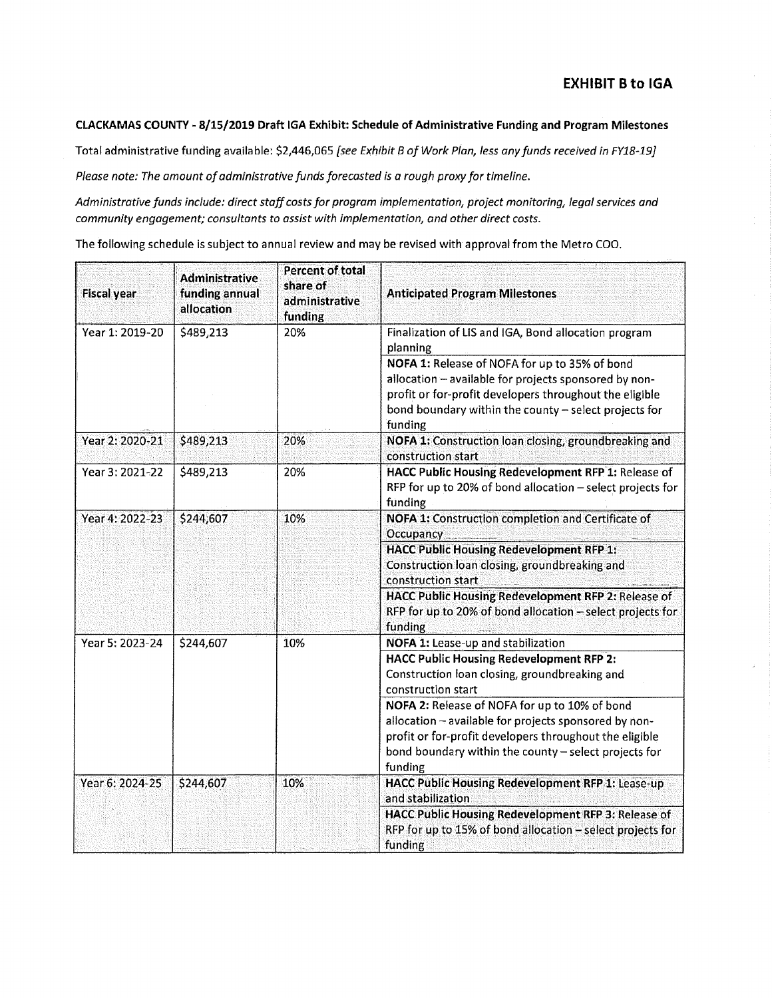## **CLACKAMAS COUNTY - 8/15/2019 Draft IGA Exhibit: Schedule of Administrative Funding and Program Milestones**

Total administrative funding available: \$2,446,065 *[see Exhibit B of Work Plan, less any funds received in FY18-19}* 

*Please note: The amount of administrative funds forecasted is a rough proxy for timeline.* 

*Administrative funds include: direct staff costs for program implementation, project monitoring, legal services and community engagement; consultants to assist with implementation, and other direct costs.* 

The following schedule is subject to annual review and may be revised with approval from the Metro COO .

| <b>Fiscal year</b> | <b>Administrative</b><br>funding annual<br>allocation | Percent of total<br>share of<br>administrative<br>funding | <b>Anticipated Program Milestones</b>                                                                                                                                                                                                 |
|--------------------|-------------------------------------------------------|-----------------------------------------------------------|---------------------------------------------------------------------------------------------------------------------------------------------------------------------------------------------------------------------------------------|
| Year 1: 2019-20    | \$489,213                                             | 20%                                                       | Finalization of LIS and IGA, Bond allocation program<br>planning                                                                                                                                                                      |
|                    |                                                       |                                                           | NOFA 1: Release of NOFA for up to 35% of bond<br>allocation - available for projects sponsored by non-<br>profit or for-profit developers throughout the eligible<br>bond boundary within the county - select projects for<br>funding |
| Year 2: 2020-21    | \$489,213                                             | 20%                                                       | NOFA 1: Construction loan closing, groundbreaking and<br>construction start                                                                                                                                                           |
| Year 3: 2021-22    | \$489,213                                             | 20%                                                       | HACC Public Housing Redevelopment RFP 1: Release of<br>RFP for up to 20% of bond allocation - select projects for<br>funding                                                                                                          |
| Year 4: 2022-23    | \$244,607                                             | 10%                                                       | NOFA 1: Construction completion and Certificate of<br><b>Occupancy</b>                                                                                                                                                                |
|                    |                                                       |                                                           | <b>HACC Public Housing Redevelopment RFP 1:</b><br>Construction loan closing, groundbreaking and<br>construction start                                                                                                                |
|                    |                                                       |                                                           | HACC Public Housing Redevelopment RFP 2: Release of<br>RFP for up to 20% of bond allocation - select projects for<br>funding                                                                                                          |
| Year 5: 2023-24    | \$244,607                                             | 10%                                                       | NOFA 1: Lease-up and stabilization                                                                                                                                                                                                    |
|                    |                                                       |                                                           | <b>HACC Public Housing Redevelopment RFP 2:</b><br>Construction loan closing, groundbreaking and<br>construction start                                                                                                                |
|                    |                                                       |                                                           | NOFA 2: Release of NOFA for up to 10% of bond<br>allocation - available for projects sponsored by non-<br>profit or for-profit developers throughout the eligible<br>bond boundary within the county - select projects for<br>funding |
| Year 6: 2024-25    | \$244,607                                             | 10%                                                       | HACC Public Housing Redevelopment RFP 1: Lease-up<br>and stabilization                                                                                                                                                                |
|                    |                                                       |                                                           | HACC Public Housing Redevelopment RFP 3: Release of<br>RFP for up to 15% of bond allocation - select projects for<br>funding                                                                                                          |